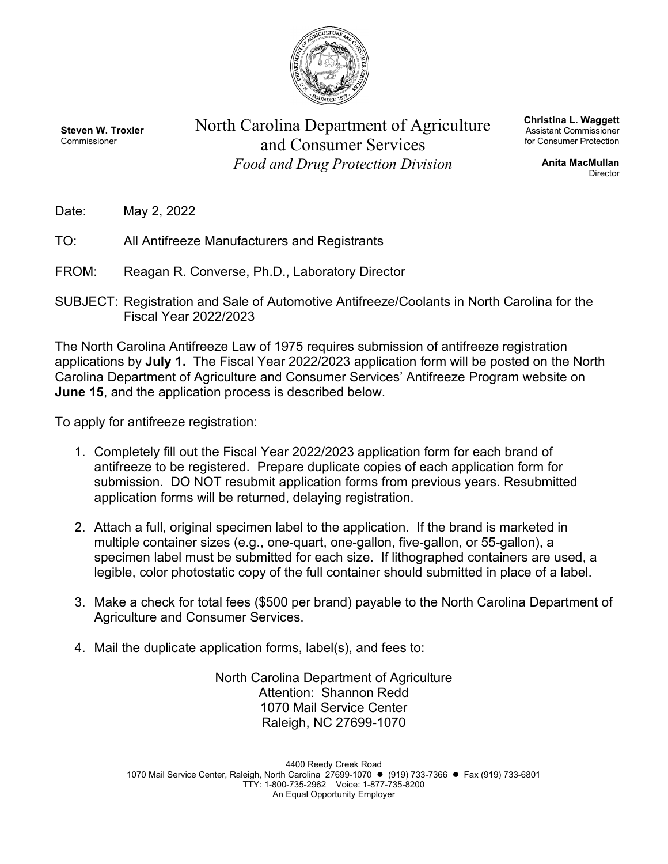

**Steven W. Troxler** Commissioner

North Carolina Department of Agriculture and Consumer Services *Food and Drug Protection Division*

**Christina L. Waggett** Assistant Commissioner for Consumer Protection

> **Anita MacMullan** Director

- Date: May 2, 2022
- TO: All Antifreeze Manufacturers and Registrants
- FROM: Reagan R. Converse, Ph.D., Laboratory Director
- SUBJECT: Registration and Sale of Automotive Antifreeze/Coolants in North Carolina for the Fiscal Year 2022/2023

The North Carolina Antifreeze Law of 1975 requires submission of antifreeze registration applications by **July 1.** The Fiscal Year 2022/2023 application form will be posted on the North Carolina Department of Agriculture and Consumer Services' Antifreeze Program website on **June 15**, and the application process is described below.

To apply for antifreeze registration:

- 1. Completely fill out the Fiscal Year 2022/2023 application form for each brand of antifreeze to be registered. Prepare duplicate copies of each application form for submission. DO NOT resubmit application forms from previous years. Resubmitted application forms will be returned, delaying registration.
- 2. Attach a full, original specimen label to the application. If the brand is marketed in multiple container sizes (e.g., one-quart, one-gallon, five-gallon, or 55-gallon), a specimen label must be submitted for each size. If lithographed containers are used, a legible, color photostatic copy of the full container should submitted in place of a label.
- 3. Make a check for total fees (\$500 per brand) payable to the North Carolina Department of Agriculture and Consumer Services.
- 4. Mail the duplicate application forms, label(s), and fees to:

North Carolina Department of Agriculture Attention: Shannon Redd 1070 Mail Service Center Raleigh, NC 27699-1070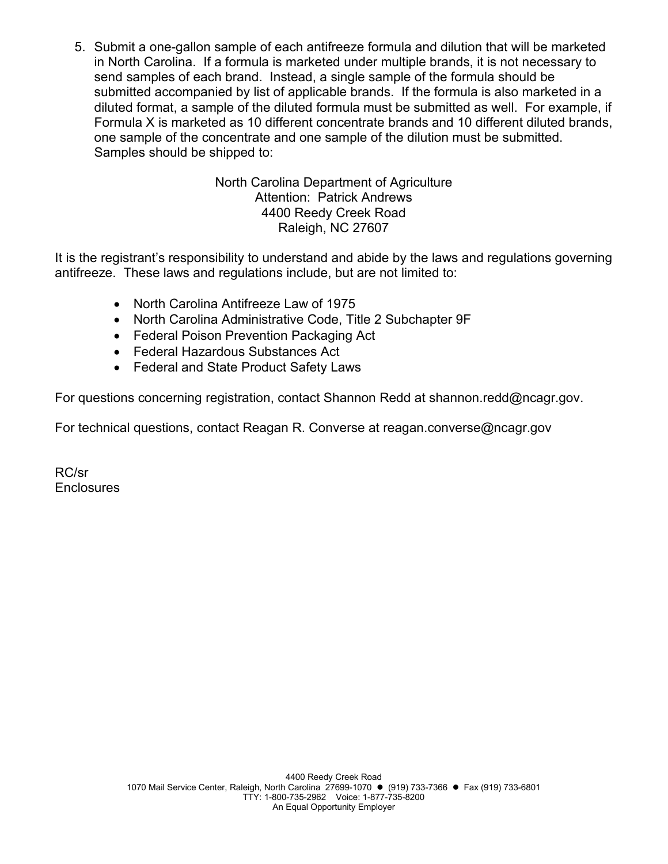5. Submit a one-gallon sample of each antifreeze formula and dilution that will be marketed in North Carolina. If a formula is marketed under multiple brands, it is not necessary to send samples of each brand. Instead, a single sample of the formula should be submitted accompanied by list of applicable brands. If the formula is also marketed in a diluted format, a sample of the diluted formula must be submitted as well. For example, if Formula X is marketed as 10 different concentrate brands and 10 different diluted brands, one sample of the concentrate and one sample of the dilution must be submitted. Samples should be shipped to:

> North Carolina Department of Agriculture Attention: Patrick Andrews 4400 Reedy Creek Road Raleigh, NC 27607

It is the registrant's responsibility to understand and abide by the laws and regulations governing antifreeze. These laws and regulations include, but are not limited to:

- North Carolina Antifreeze Law of 1975
- North Carolina Administrative Code, Title 2 Subchapter 9F
- Federal Poison Prevention Packaging Act
- Federal Hazardous Substances Act
- Federal and State Product Safety Laws

For questions concerning registration, contact Shannon Redd at shannon.redd@ncagr.gov.

For technical questions, contact Reagan R. Converse at reagan.converse@ncagr.gov

RC/sr **Enclosures**